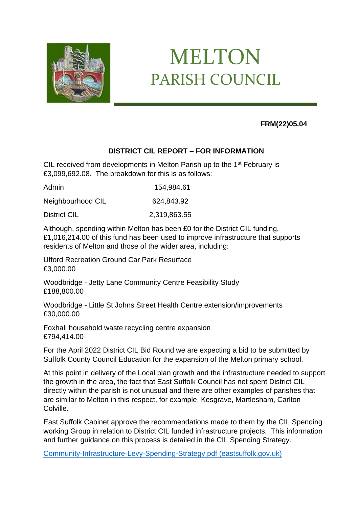

## MELTON PARISH COUNCIL

## **FRM(22)05.04**

## **DISTRICT CIL REPORT – FOR INFORMATION**

CIL received from developments in Melton Parish up to the 1<sup>st</sup> February is £3,099,692.08. The breakdown for this is as follows:

Admin 154,984.61

Neighbourhood CIL 624,843.92

District CIL 2,319,863.55

Although, spending within Melton has been £0 for the District CIL funding, £1,016,214.00 of this fund has been used to improve infrastructure that supports residents of Melton and those of the wider area, including:

Ufford Recreation Ground Car Park Resurface £3,000.00

Woodbridge - Jetty Lane Community Centre Feasibility Study £188,800.00

Woodbridge - Little St Johns Street Health Centre extension/improvements £30,000.00

Foxhall household waste recycling centre expansion £794,414.00

For the April 2022 District CIL Bid Round we are expecting a bid to be submitted by Suffolk County Council Education for the expansion of the Melton primary school.

At this point in delivery of the Local plan growth and the infrastructure needed to support the growth in the area, the fact that East Suffolk Council has not spent District CIL directly within the parish is not unusual and there are other examples of parishes that are similar to Melton in this respect, for example, Kesgrave, Martlesham, Carlton Colville.

East Suffolk Cabinet approve the recommendations made to them by the CIL Spending working Group in relation to District CIL funded infrastructure projects. This information and further guidance on this process is detailed in the CIL Spending Strategy.

[Community-Infrastructure-Levy-Spending-Strategy.pdf \(eastsuffolk.gov.uk\)](https://www.eastsuffolk.gov.uk/assets/Planning/Community-Infrastructure-Levy/CIL-spending/Community-Infrastructure-Levy-Spending-Strategy.pdf)